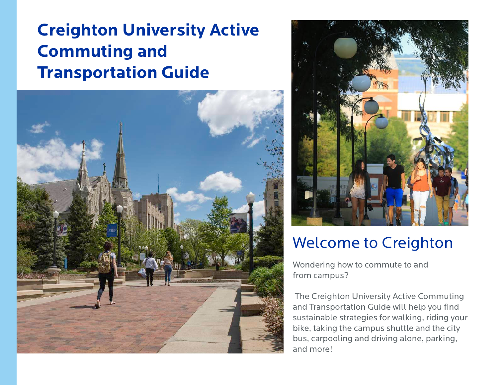# **Creighton University Active Commuting and Transportation Guide**





## Welcome to Creighton

Wondering how to commute to and from campus?

 The Creighton University Active Commuting and Transportation Guide will help you find sustainable strategies for walking, riding your bike, taking the campus shuttle and the city bus, carpooling and driving alone, parking, and more!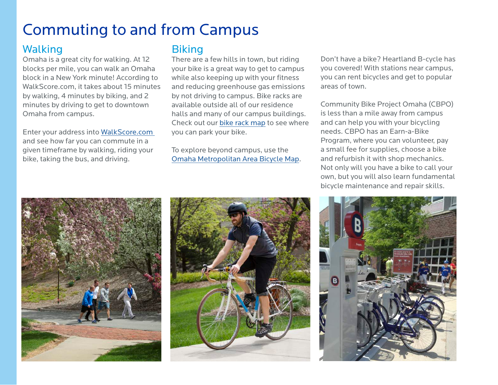## Commuting to and from Campus

## Walking

Omaha is a great city for walking. At 12 blocks per mile, you can walk an Omaha block in a New York minute! According to WalkScore.com, it takes about 15 minutes by walking, 4 minutes by biking, and 2 minutes by driving to get to downtown Omaha from campus.

Enter your address into [WalkScore.com](https://www.walkscore.com)  and see how far you can commute in a given timeframe by walking, riding your bike, taking the bus, and driving.

### **Biking**

There are a few hills in town, but riding your bike is a great way to get to campus while also keeping up with your fitness and reducing greenhouse gas emissions by not driving to campus. Bike racks are available outside all of our residence halls and many of our campus buildings. Check out our [bike rack map](https://www.creighton.edu/fileadmin/user/sustainability/docs/CampusBikeRacks_2015.pdf) to see where you can park your bike.

To explore beyond campus, use the [Omaha Metropolitan Area Bicycle Map.](http://mapacog.org/data-maps/omaha-metropolitan-area-bicycle-map/)

Don't have a bike? Heartland B-cycle has you covered! With stations near campus, you can rent bicycles and get to popular areas of town.

Community Bike Project Omaha (CBPO) is less than a mile away from campus and can help you with your bicycling needs. CBPO has an Earn-a-Bike Program, where you can volunteer, pay a small fee for supplies, choose a bike and refurbish it with shop mechanics. Not only will you have a bike to call your own, but you will also learn fundamental bicycle maintenance and repair skills.





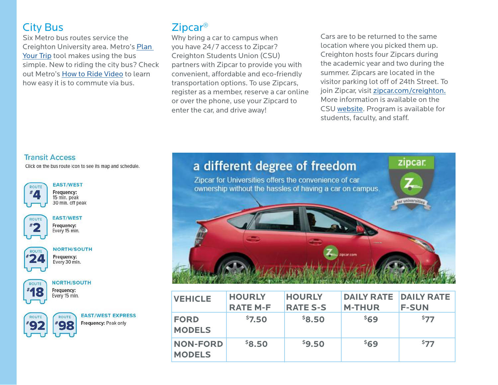## City Bus

Six Metro bus routes service the Creighton University area. Metro's [Plan](http://www.ometro.com)  [Your Trip](http://www.ometro.com) tool makes using the bus simple. New to riding the city bus? Check out Metro's [How to Ride Video](http://www.ometro.com/index.php/rider-guide/how-to-ride/) to learn how easy it is to commute via bus.

## Zipcar®

Why bring a car to campus when you have 24/7 access to Zipcar? Creighton Students Union (CSU) partners with Zipcar to provide you with convenient, affordable and eco-friendly transportation options. To use Zipcars, register as a member, reserve a car online or over the phone, use your Zipcard to enter the car, and drive away!

Cars are to be returned to the same location where you picked them up. Creighton hosts four Zipcars during the academic year and two during the summer. Zipcars are located in the visitor parking lot off of 24th Street. To join Zipcar, visit [zipcar.com/creighton.](https://www.zipcar.com/universities/creighton-university) More information is available on the CSU [website](https://www.creighton.edu/csu/zipcarcarsharingprogram/). Program is available for students, faculty, and staff.

### **Transit Access**

Click on the bus route icon to see its map and schedule.



#### **EAST/WEST** Frequency:

15 min. peak 30 min. off peak



#### **EAST/WEST**

Frequency: Every 15 min.



#### **NORTH/SOUTH**

Frequency: Every 30 min.



**NORTH/SOUTH** Frequency:

Every 15 min.



**EAST/WEST EXPRESS** Frequency: Peak only

### zipcar a different degree of freedom

Zipcar for Universities offers the convenience of car ownership without the hassles of having a car on campus.



| <b>VEHICLE</b>                   | <b>HOURLY</b><br><b>RATE M-F</b> | <b>HOURLY</b><br><b>RATE S-S</b> | <b>DAILY RATE</b><br><b>M-THUR</b> | <b>DAILY RATE</b><br><b>F-SUN</b> |
|----------------------------------|----------------------------------|----------------------------------|------------------------------------|-----------------------------------|
| <b>FORD</b><br><b>MODELS</b>     | \$7.50                           | \$8.50                           | \$69                               | 577                               |
| <b>NON-FORD</b><br><b>MODELS</b> | \$8.50                           | \$9.50                           | \$69                               | 577                               |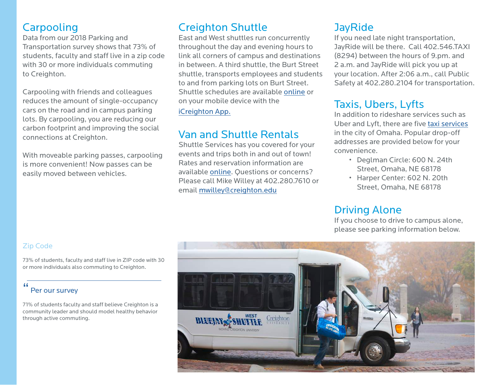## **Carpooling**

Data from our 2018 Parking and Transportation survey shows that 73% of students, faculty and staff live in a zip code with 30 or more individuals commuting to Creighton.

Carpooling with friends and colleagues reduces the amount of single-occupancy cars on the road and in campus parking lots. By carpooling, you are reducing our carbon footprint and improving the social connections at Creighton.

With moveable parking passes, carpooling is more convenient! Now passes can be easily moved between vehicles.

## Creighton Shuttle

East and West shuttles run concurrently throughout the day and evening hours to link all corners of campus and destinations in between. A third shuttle, the Burt Street shuttle, transports employees and students to and from parking lots on Burt Street. Shuttle schedules are available [online](https://www.creighton.edu/admin/shuttleservices/) or on your mobile device with the

[iCreighton App.](https://doit.creighton.edu/voice-video-web-and-mobile-apps/creighton-mobile/icreighton-app)

## Van and Shuttle Rentals

Shuttle Services has you covered for your events and trips both in and out of town! Rates and reservation information are available [online](https://www.creighton.edu/admin/shuttleservices/vanandshuttlerental/). Questions or concerns? Please call Mike Willey at 402.280.7610 or email [mwilley@creighton.edu](mailto:mwilley@creighton.edu)

## **JayRide**

If you need late night transportation, JayRide will be there. Call 402.546.TAXI (8294) between the hours of 9.pm. and 2 a.m. and JayRide will pick you up at your location. After 2:06 a.m., call Public Safety at 402.280.2104 for transportation.

## Taxis, Ubers, Lyfts

In addition to rideshare services such as Uber and Lyft, there are five [taxi services](https://www.creighton.edu/admin/shuttleservices/busandtaxiservice/) in the city of Omaha. Popular drop-off addresses are provided below for your convenience.

- Deglman Circle: 600 N. 24th Street, Omaha, NE 68178
- Harper Center: 602 N. 20th Street, Omaha, NE 68178

## Driving Alone

If you choose to drive to campus alone, please see parking information below.

### Zip Code

73% of students, faculty and staff live in ZIP code with 30 or more individuals also commuting to Creighton.

#### " Per our survey

71% of students faculty and staff believe Creighton is a community leader and should model healthy behavior through active commuting.

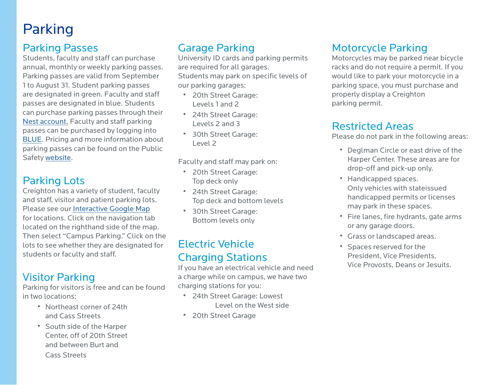## Parking

## Parking Passes

Students, faculty and staff can purchase annual, monthly or weekly parking passes. Parking passes are valid from September 1 to August 31. Student parking passes are designated in green. Faculty and staff passes are designated in blue. Students can purchase parking passes through their [Nest account.](https://thenest.creighton.edu/PROD/twbkwbis.P_GenMenu?name=homepage) Faculty and staff parking passes can be purchased by logging into [BLUE](https://doit.creighton.edu/parking-permits/). Pricing and more information about parking passes can be found on the Public Safety [website.](https://www.creighton.edu/admin/publicsafety/parkinginformation/)

## Parking Lots

Creighton has a variety of student, faculty and staff, visitor and patient parking lots. Please see our [Interactive Google Map](http://radlab.creighton.edu/radlab_maps/cumap/cumap.html) for locations. Click on the navigation tab located on the righthand side of the map. Then select "Campus Parking." Click on the lots to see whether they are designated for students or faculty and staff.

### Visitor Parking

Parking for visitors is free and can be found in two locations:

- Northeast corner of 24th and Cass Streets
- South side of the Harper Center, off of 20th Street and between Burt and

Cass Streets

## Garage Parking

University ID cards and parking permits are required for all garages. Students may park on specific levels of our parking garages:

- 20th Street Garage: Levels 1 and 2
- 24th Street Garage: Levels 2 and 3
- 30th Street Garage: Level 2

Faculty and staff may park on:

- 20th Street Garage: Top deck only
- 24th Street Garage: Top deck and bottom levels
- 30th Street Garage: Bottom levels only

## Electric Vehicle Charging Stations

If you have an electrical vehicle and need a charge while on campus, we have two charging stations for you:

- 24th Street Garage: Lowest Level on the West side
- 20th Street Garage

## Motorcycle Parking

Motorcycles may be parked near bicycle racks and do not require a permit. If you would like to park your motorcycle in a parking space, you must purchase and properly display a Creighton parking permit.

### Restricted Areas

Please do not park in the following areas:

- Deglman Circle or east drive of the Harper Center. These areas are for drop-off and pick-up only.
- Handicapped spaces. Only vehicles with stateissued handicapped permits or licenses may park in these spaces.
- Fire lanes, fire hydrants, gate arms or any garage doors.
- Grass or landscaped areas.
- Spaces reserved for the President, Vice Presidents, Vice Provosts, Deans or Jesuits.